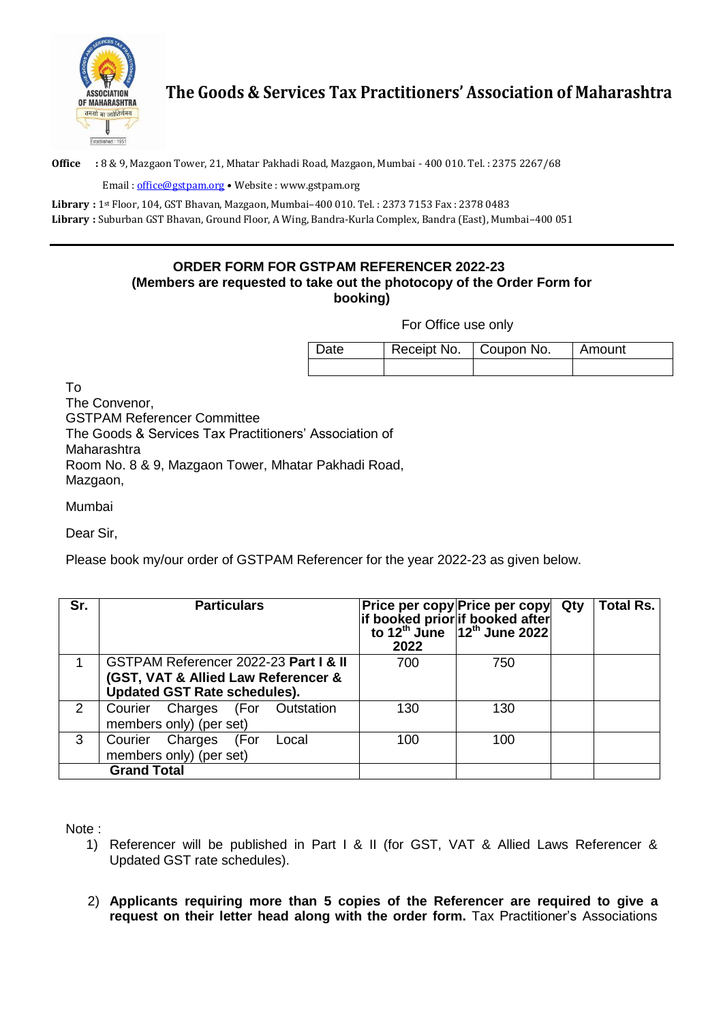

## **The Goods & Services Tax Practitioners' Association of Maharashtra**

**Office :** 8 & 9, Mazgaon Tower, 21, Mhatar Pakhadi Road, Mazgaon, Mumbai - 400 010. Tel. : 2375 2267/68

Email : [office@gstpam.org](mailto:office@gstpam.org) • Website : [www.gstpam.org](http://www.gstpam.org/)

**Library :** 1st Floor, 104, GST Bhavan, Mazgaon, Mumbai–400 010. Tel. : 2373 7153 Fax : 2378 0483 **Library :** Suburban GST Bhavan, Ground Floor, A Wing, Bandra-Kurla Complex, Bandra (East), Mumbai–400 051

## **ORDER FORM FOR GSTPAM REFERENCER 2022-23 (Members are requested to take out the photocopy of the Order Form for booking)**

For Office use only

| Date | Receipt No. | Coupon No. | Amount |  |
|------|-------------|------------|--------|--|
|      |             |            |        |  |

To

The Convenor, GSTPAM Referencer Committee The Goods & Services Tax Practitioners' Association of Maharashtra Room No. 8 & 9, Mazgaon Tower, Mhatar Pakhadi Road, Mazgaon,

Mumbai

Dear Sir,

Please book my/our order of GSTPAM Referencer for the year 2022-23 as given below.

| Sr. | <b>Particulars</b>                                                                                                  | Price per copy Price per copy Qty<br>$\left  \right $ if booked prior if booked after to 12 <sup>th</sup> June 12 <sup>th</sup> June 2022<br>2022 |     | Total Rs. |
|-----|---------------------------------------------------------------------------------------------------------------------|---------------------------------------------------------------------------------------------------------------------------------------------------|-----|-----------|
|     | GSTPAM Referencer 2022-23 Part I & II<br>(GST, VAT & Allied Law Referencer &<br><b>Updated GST Rate schedules).</b> | 700                                                                                                                                               | 750 |           |
| 2   | Courier Charges (For Outstation<br>members only) (per set)                                                          | 130                                                                                                                                               | 130 |           |
| 3   | Courier Charges<br>(For<br>Local<br>members only) (per set)                                                         | 100                                                                                                                                               | 100 |           |
|     | <b>Grand Total</b>                                                                                                  |                                                                                                                                                   |     |           |

Note :

- 1) Referencer will be published in Part I & II (for GST, VAT & Allied Laws Referencer & Updated GST rate schedules).
- 2) **Applicants requiring more than 5 copies of the Referencer are required to give a request on their letter head along with the order form.** Tax Practitioner's Associations